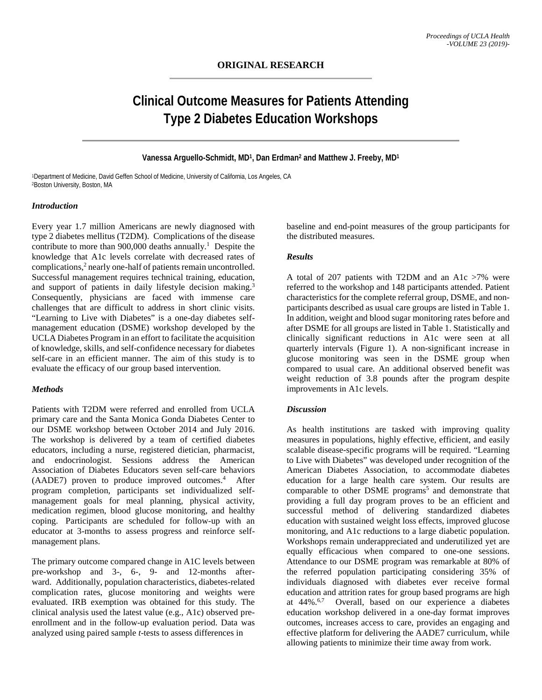# **Clinical Outcome Measures for Patients Attending Type 2 Diabetes Education Workshops**

#### **Vanessa Arguello-Schmidt, MD1, Dan Erdman2 and Matthew J. Freeby, MD1**

1Department of Medicine, David Geffen School of Medicine, University of California, Los Angeles, CA 2Boston University, Boston, MA

#### *Introduction*

Every year 1.7 million Americans are newly diagnosed with type 2 diabetes mellitus (T2DM). Complications of the disease contribute to more than  $900,000$  deaths annually.<sup>1</sup> Despite the knowledge that A1c levels correlate with decreased rates of complications,<sup>2</sup> nearly one-half of patients remain uncontrolled. Successful management requires technical training, education, and support of patients in daily lifestyle decision making.<sup>3</sup> Consequently, physicians are faced with immense care challenges that are difficult to address in short clinic visits. "Learning to Live with Diabetes" is a one-day diabetes selfmanagement education (DSME) workshop developed by the UCLA Diabetes Program in an effort to facilitate the acquisition of knowledge, skills, and self-confidence necessary for diabetes self-care in an efficient manner. The aim of this study is to evaluate the efficacy of our group based intervention.

### *Methods*

Patients with T2DM were referred and enrolled from UCLA primary care and the Santa Monica Gonda Diabetes Center to our DSME workshop between October 2014 and July 2016. The workshop is delivered by a team of certified diabetes educators, including a nurse, registered dietician, pharmacist, and endocrinologist. Sessions address the American Association of Diabetes Educators seven self-care behaviors (AADE7) proven to produce improved outcomes.4 After program completion, participants set individualized selfmanagement goals for meal planning, physical activity, medication regimen, blood glucose monitoring, and healthy coping. Participants are scheduled for follow-up with an educator at 3-months to assess progress and reinforce selfmanagement plans.

The primary outcome compared change in A1C levels between pre-workshop and 3-, 6-, 9- and 12-months afterward. Additionally, population characteristics, diabetes-related complication rates, glucose monitoring and weights were evaluated. IRB exemption was obtained for this study. The clinical analysis used the latest value (e.g., A1c) observed preenrollment and in the follow-up evaluation period. Data was analyzed using paired sample *t*-tests to assess differences in

baseline and end-point measures of the group participants for the distributed measures.

# *Results*

A total of 207 patients with T2DM and an A1c >7% were referred to the workshop and 148 participants attended. Patient characteristics for the complete referral group, DSME, and nonparticipants described as usual care groups are listed in Table 1. In addition, weight and blood sugar monitoring rates before and after DSME for all groups are listed in Table 1. Statistically and clinically significant reductions in A1c were seen at all quarterly intervals (Figure 1). A non-significant increase in glucose monitoring was seen in the DSME group when compared to usual care. An additional observed benefit was weight reduction of 3.8 pounds after the program despite improvements in A1c levels.

## *Discussion*

As health institutions are tasked with improving quality measures in populations, highly effective, efficient, and easily scalable disease-specific programs will be required. "Learning to Live with Diabetes" was developed under recognition of the American Diabetes Association, to accommodate diabetes education for a large health care system. Our results are comparable to other DSME programs<sup>5</sup> and demonstrate that providing a full day program proves to be an efficient and successful method of delivering standardized diabetes education with sustained weight loss effects, improved glucose monitoring, and A1c reductions to a large diabetic population. Workshops remain underappreciated and underutilized yet are equally efficacious when compared to one-one sessions. Attendance to our DSME program was remarkable at 80% of the referred population participating considering 35% of individuals diagnosed with diabetes ever receive formal education and attrition rates for group based programs are high at 44%.6,7 Overall, based on our experience a diabetes education workshop delivered in a one-day format improves outcomes, increases access to care, provides an engaging and effective platform for delivering the AADE7 curriculum, while allowing patients to minimize their time away from work.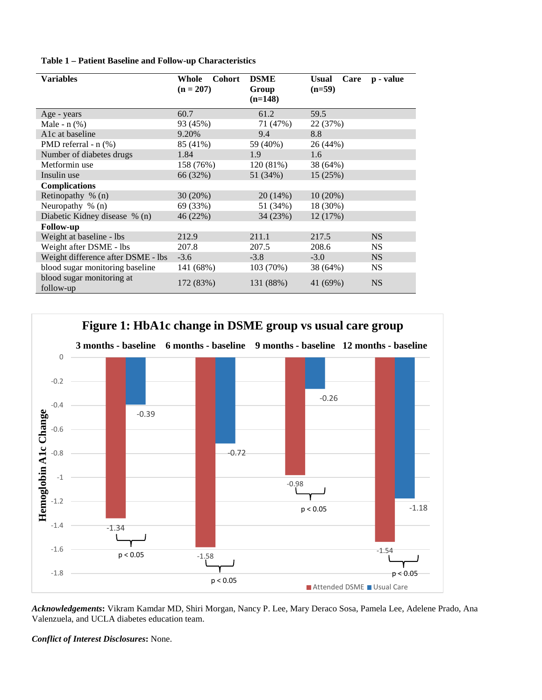|  |  |  |  |  | Table 1 - Patient Baseline and Follow-up Characteristics |
|--|--|--|--|--|----------------------------------------------------------|
|--|--|--|--|--|----------------------------------------------------------|

| <b>Variables</b>                       | <b>Cohort</b><br>Whole<br>$(n = 207)$ | <b>DSME</b><br>Group<br>$(n=148)$ | <b>Usual</b><br>Care<br>$(n=59)$ | p - value |
|----------------------------------------|---------------------------------------|-----------------------------------|----------------------------------|-----------|
| Age - years                            | 60.7                                  | 61.2                              | 59.5                             |           |
| Male - $n$ $(\%)$                      | 93 (45%)                              | 71 (47%)                          | 22 (37%)                         |           |
| A1c at baseline                        | 9.20%                                 | 9.4                               | 8.8                              |           |
| PMD referral - n (%)                   | 85 (41%)                              | 59 (40%)                          | 26 (44%)                         |           |
| Number of diabetes drugs               | 1.84                                  | 1.9                               | 1.6                              |           |
| Metformin use                          | 158 (76%)                             | 120(81%)                          | 38 (64%)                         |           |
| Insulin use                            | 66 (32%)                              | 51 (34%)                          | 15 (25%)                         |           |
| <b>Complications</b>                   |                                       |                                   |                                  |           |
| Retinopathy $\%$ (n)                   | 30(20%)                               | 20(14%)                           | 10(20%)                          |           |
| Neuropathy $\%$ (n)                    | 69 (33%)                              | 51 (34%)                          | 18 (30%)                         |           |
| Diabetic Kidney disease % (n)          | 46 (22%)                              | 34(23%)                           | 12 (17%)                         |           |
| <b>Follow-up</b>                       |                                       |                                   |                                  |           |
| Weight at baseline - lbs               | 212.9                                 | 211.1                             | 217.5                            | NS.       |
| Weight after DSME - lbs                | 207.8                                 | 207.5                             | 208.6                            | <b>NS</b> |
| Weight difference after DSME - lbs     | $-3.6$                                | $-3.8$                            | $-3.0$                           | NS.       |
| blood sugar monitoring baseline        | 141 (68%)                             | 103 (70%)                         | 38 (64%)                         | <b>NS</b> |
| blood sugar monitoring at<br>follow-up | 172 (83%)                             | 131 (88%)                         | 41 (69%)                         | <b>NS</b> |



*Acknowledgements***:** Vikram Kamdar MD, Shiri Morgan, Nancy P. Lee, Mary Deraco Sosa, Pamela Lee, Adelene Prado, Ana Valenzuela, and UCLA diabetes education team.

*Conflict of Interest Disclosures***:** None.